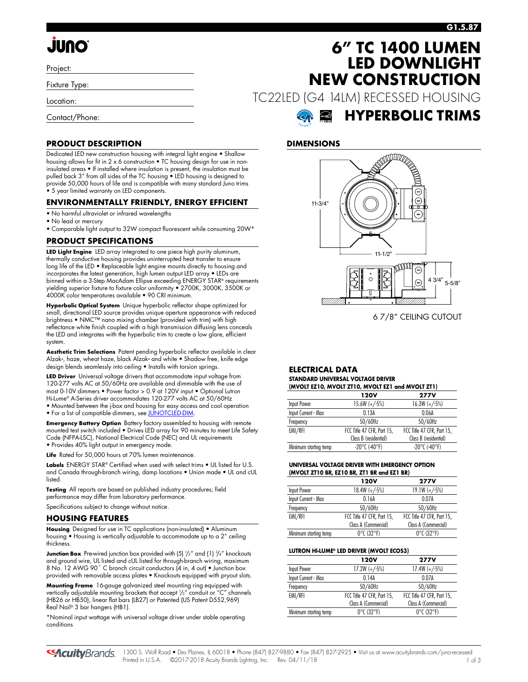## **G1.5.87**

# **JUNO**

Project:

Fixture Type:

Location:

Contact/Phone:

# **PRODUCT DESCRIPTION**

Dedicated LED new construction housing with integral light engine • Shallow housing allows for fit in 2 x 6 construction • TC housing design for use in noninsulated areas • If installed where insulation is present, the insulation must be pulled back 3" from all sides of the TC housing • LED housing is designed to provide 50,000 hours of life and is compatible with many standard Juno trims • 5 year limited warranty on LED components.

### **ENVIRONMENTALLY FRIENDLY, ENERGY EFFICIENT**

- No harmful ultraviolet or infrared wavelengths
- No lead or mercury
- Comparable light output to 32W compact fluorescent while consuming 20W\*

### **PRODUCT SPECIFICATIONS**

**LED Light Engine** LED array integrated to one piece high purity aluminum, thermally conductive housing provides uninterrupted heat transfer to ensure long life of the LED • Replaceable light engine mounts directly to housing and incorporates the latest generation, high lumen output LED array • LEDs are binned within a 3-Step MacAdam Ellipse exceeding ENERGY STAR® requirements yielding superior fixture to fixture color uniformity • 2700K, 3000K, 3500K or 4000K color temperatures available • 90 CRI minimum.

**Hyperbolic Optical System** Unique hyperbolic reflector shape optimized for small, directional LED source provides unique aperture appearance with reduced brightness • NMC™ nano mixing chamber (provided with trim) with high reflectance white finish coupled with a high transmission diffusing lens conceals the LED and integrates with the hyperbolic trim to create a low glare, efficient system.

**Aesthetic Trim Selections** Patent pending hyperbolic reflector available in clear Alzak®, haze, wheat haze, black Alzak® and white • Shadow free, knife edge design blends seamlessly into ceiling • Installs with torsion springs.

**LED Driver** Universal voltage drivers that accommodate input voltage from 120-277 volts AC at 50/60Hz are available and dimmable with the use of most 0-10V dimmers • Power factor > 0.9 at 120V input • Optional Lutron Hi-Lume® A-Series driver accommodates 120-277 volts AC at 50/60Hz

• Mounted between the j-box and housing for easy access and cool operation • For a list of compatible dimmers, see JUNOTCLED-DIM

**Emergency Battery Option** Battery factory assembled to housing with remote mounted test switch included • Drives LED array for 90 minutes to meet Life Safety Code (NFPA-LSC), National Electrical Code (NEC) and UL requirements • Provides 40% light output in emergency mode.

Life Rated for 50,000 hours at 70% lumen maintenance.

**Labels** ENERGY STAR® Certified when used with select trims • UL listed for U.S. and Canada through-branch wiring, damp locations • Union made • UL and cUL listed

**Testing** All reports are based on published industry procedures; field performance may differ from laboratory performance.

Specifications subject to change without notice.

### **HOUSING FEATURES**

**Housing** Designed for use in TC applications (non-insulated) • Aluminum housing • Housing is vertically adjustable to accommodate up to a 2" ceiling thickness.

**Junction Box** Pre-wired junction box provided with (5)  $\frac{1}{2}$  and (1)  $\frac{3}{4}$  knockouts and ground wire, UL listed and cUL listed for through-branch wiring, maximum 8 No. 12 AWG 90° C branch circuit conductors (4 in, 4 out) • Junction box provided with removable access plates • Knockouts equipped with pryout slots.

**Mounting Frame** 16-gauge galvanized steel mounting ring equipped with vertically adjustable mounting brackets that accept 1 /2" conduit or "C" channels (HB26 or HB50), linear flat bars (LB27) or Patented (US Patent D552,969) Real Nail® 3 bar hangers (HB1).

\*Nominal input wattage with universal voltage driver under stable operating conditions

# **6" TC 1400 LUMEN LED DOWNLIGHT NEW CONSTRUCTION**

TC22LED (G4 14LM) RECESSED HOUSING



## **DIMENSIONS**



6 7/8" CEILING CUTOUT

#### **ELECTRICAL DATA STANDARD UNIVERSAL VOLTAGE DRIVER (MVOLT EZ10, MVOLT ZT10, MVOLT EZ1 and MVOLT ZT1)**

|                       | 120V                       | <b>277V</b>                |  |  |
|-----------------------|----------------------------|----------------------------|--|--|
| Input Power           | $15.6W (+/-5%)$            | $16.3W (+/-5%)$            |  |  |
| Input Current - Max   | 0.13A                      | 0.06A                      |  |  |
| Frequency             | 50/60Hz                    | 50/60Hz                    |  |  |
| EMI/RFI               | FCC Title 47 CFR, Part 15, | FCC Title 47 CFR, Part 15, |  |  |
|                       | Class B (residential)      | Class B (residential)      |  |  |
| Minimum starting temp | $-20^{\circ}$ C (-40°F)    | $-20^{\circ}$ C (-40°F)    |  |  |
|                       |                            |                            |  |  |

#### **UNIVERSAL VOLTAGE DRIVER WITH EMERGENCY OPTION (MVOLT ZT10 BR, EZ10 BR, ZT1 BR and EZ1 BR)**

|                       | 120V                            | <b>277V</b>                     |
|-----------------------|---------------------------------|---------------------------------|
| Input Power           | $18.4W (+/-5%)$                 | $19.1W (+/-5%)$                 |
| Input Current - Max   | 0.16A                           | 0.07A                           |
| Frequency             | 50/60Hz                         | 50/60Hz                         |
| EMI/RFI               | FCC Title 47 CFR, Part 15,      | FCC Title 47 CFR, Part 15,      |
|                       | Class A (Commercial)            | Class A (Commercial)            |
| Minimum starting temp | $0^{\circ}$ C (32 $^{\circ}$ F) | $0^{\circ}$ C (32 $^{\circ}$ F) |

#### **LUTRON HI-LUME® LED DRIVER (MVOLT ECOS3)**

|                       | 120V                            | <b>277V</b>                     |
|-----------------------|---------------------------------|---------------------------------|
| Input Power           | $17.2W (+/-5%)$                 | $17.4W (+/-5%)$                 |
| Input Current - Max   | 014A                            | 0.07A                           |
| Frequency             | 50/60Hz                         | 50/60Hz                         |
| EMI/RFI               | FCC Title 47 CFR, Part 15,      | FCC Title 47 CFR, Part 15,      |
|                       | Class A (Commercial)            | Class A (Commercial)            |
| Minimum starting temp | $0^{\circ}$ C (32 $^{\circ}$ F) | $0^{\circ}$ C (32 $^{\circ}$ F) |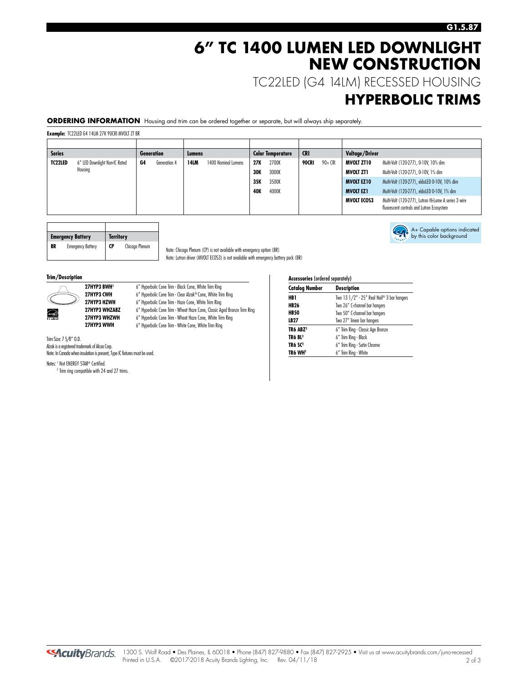# **6" TC 1400 LUMEN LED DOWNLIGHT NEW CONSTRUCTION**

TC22LED (G4 14LM) RECESSED HOUSING

# **HYPERBOLIC TRIMS**

A+ Capable options indicated by this color background

**ORDERING INFORMATION** Housing and trim can be ordered together or separate, but will always ship separately.

**Example:** TC22LED G4 14LM 27K 90CRI MVOLT ZT BR

| <b>Series</b> |                               |    | <b>Generation</b> | <b>Lumens</b> |                     |            | <b>Color Temperature</b> | <b>CRI</b> |         | Voltage/Driver     |                                                                                                   |
|---------------|-------------------------------|----|-------------------|---------------|---------------------|------------|--------------------------|------------|---------|--------------------|---------------------------------------------------------------------------------------------------|
| TC22LED       | 6" LED Downlight Non-IC Rated | G4 | Generation 4      | 14LM          | 1400 Nominal Lumens | 27K        | 2700K                    | 90CRI      | 90+ CRI | MVOLT ZT10         | Multi-Volt (120-277), 0-10V, 10% dim                                                              |
|               | Housing                       |    |                   |               |                     | <b>30K</b> | 3000K                    |            |         | MVOLT ZTI          | Multi-Volt (120-277), 0-10V, 1% dim                                                               |
|               |                               |    |                   |               |                     | 35K        | 3500K                    |            |         | <b>MVOLT EZ10</b>  | Multi-Volt (120-277), eldoLED 0-10V, 10% dim                                                      |
|               |                               |    |                   |               |                     | <b>40K</b> | 4000K                    |            |         | <b>MVOLT EZ1</b>   | Multi-Volt (120-277), eldoLED 0-10V, 1% dim                                                       |
|               |                               |    |                   |               |                     |            |                          |            |         | <b>MVOLT ECOS3</b> | Multi-Volt (120-277), Lutron Hi-Lume A series 3 wire<br>fluorescent controls and Lutron Ecosystem |

|    | <b>Emergency Battery</b> | <b>Territory</b> |                |  |
|----|--------------------------|------------------|----------------|--|
| BR | <b>Emergency Battery</b> | CP               | Chicago Plenum |  |

Note: Chicago Plenum (CP) is not available with emergency option (BR) Note: Lutron driver (MVOLT ECOS3) is not available with emergency battery pack (BR)

6" Hyperbolic Cone Trim - Wheat Haze Cone, Classic Aged Bronze Trim Ring

#### **Trim/Description**



**27HYP3 BWH<sup>1</sup>** 6" Hyperbolic Cone Trim - Black Cone, White Trim Ring<br>**27HYP3 CWH** 6" Hyperbolic Cone Trim - Clear Alzak® Cone. White Triu **27HYP3 CWH** 6" Hyperbolic Cone Trim - Clear Alzak® Cone, White Trim Ring<br>**27HYP3 HZWH** 6" Hyperbolic Cone Trim - Haze Cone, White Trim Ring **27HYP3 HZWH** 6" Hyperbolic Cone Trim - Haze Cone, White Trim Ring<br>**27HYP3 WHZABZ** 6" Hyperbolic Cone Trim - Wheat Haze Cone. Classic Ac 27HYP3 WHZWH 6" Hyperbolic Cone Trim - Wheat Haze Cone, White Trim Ring 27HYP3 WWH 6" Hyperbolic Cone Trim - White Cone, White Trim Ring

Trim Size: 7 5/8" O.D. Alzak is a registered trademark of Alcoa Corp. Note: In Canada when insulation is present, Type IC fixtures must be used.

Notes: <sup>1</sup> Not ENERGY STAR® Certified.

<sup>2</sup> Trim ring compatible with 24 and 27 trims.

| <b>Accessories (ordered separately)</b>              |                                   |  |  |
|------------------------------------------------------|-----------------------------------|--|--|
| <b>Catalog Number</b>                                | <b>Description</b>                |  |  |
| Two 13 $1/2''$ - 25" Real Nail® 3 bar hangers<br>HB1 |                                   |  |  |
| <b>HB26</b>                                          | Two 26" C-channel bar hangers     |  |  |
| <b>HB50</b>                                          | Two 50" C-channel bar hangers     |  |  |
| LB27                                                 | Two 27" linear bar hangers        |  |  |
| TR6 ABZ <sup>2</sup>                                 | 6" Trim Ring - Classic Age Bronze |  |  |
| TR6 BL <sup>2</sup>                                  | 6" Trim Ring - Black              |  |  |
| TR6 SC <sup>2</sup>                                  | 6" Trim Ring - Satin Chrome       |  |  |
| TR6 WH2                                              | 6" Trim Ring - White              |  |  |